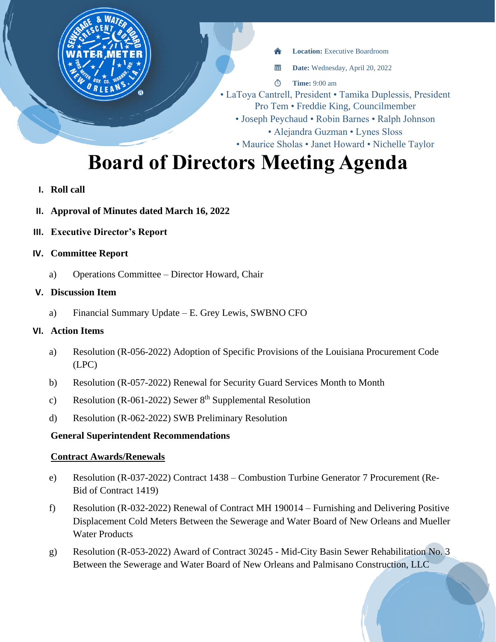**Location:** Executive Boardroom

當 **Date:** Wednesday, April 20, 2022

 $\Phi$ **Time:** 9:00 am

• LaToya Cantrell, President • Tamika Duplessis, President Pro Tem • Freddie King, Councilmember • Joseph Peychaud • Robin Barnes • Ralph Johnson

• Alejandra Guzman • Lynes Sloss

• Maurice Sholas • Janet Howard • Nichelle Taylor

# **Board of Directors Meeting Agenda**

- **I. Roll call**
- **II. Approval of Minutes dated March 16, 2022**
- **III. Executive Director's Report**

## **IV. Committee Report**

a) Operations Committee – Director Howard, Chair

## **V. Discussion Item**

a) Financial Summary Update – E. Grey Lewis, SWBNO CFO

### **VI. Action Items**

- a) Resolution (R-056-2022) Adoption of Specific Provisions of the Louisiana Procurement Code (LPC)
- b) Resolution (R-057-2022) Renewal for Security Guard Services Month to Month
- c) Resolution (R-061-2022) Sewer 8<sup>th</sup> Supplemental Resolution
- d) Resolution (R-062-2022) SWB Preliminary Resolution

## **General Superintendent Recommendations**

## **Contract Awards/Renewals**

- e) Resolution (R-037-2022) Contract 1438 Combustion Turbine Generator 7 Procurement (Re-Bid of Contract 1419)
- f) Resolution (R-032-2022) Renewal of Contract MH 190014 Furnishing and Delivering Positive Displacement Cold Meters Between the Sewerage and Water Board of New Orleans and Mueller Water Products
- g) Resolution (R-053-2022) Award of Contract 30245 Mid-City Basin Sewer Rehabilitation No. 3 Between the Sewerage and Water Board of New Orleans and Palmisano Construction, LLC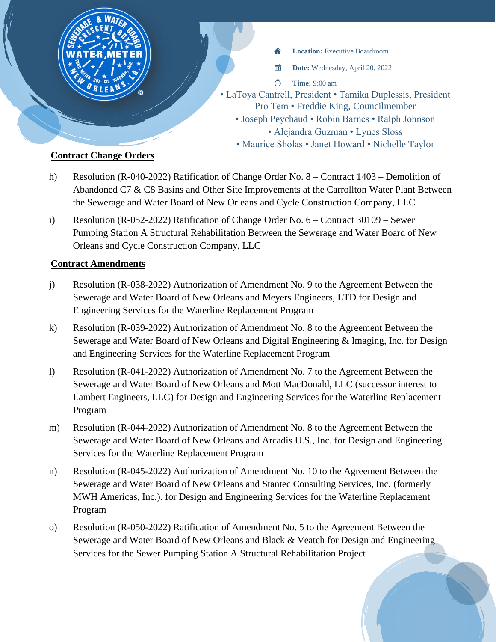

- **Location:** Executive Boardroom
- **Date:** Wednesday, April 20, 2022
- LaToya Cantrell, President Tamika Duplessis, President Pro Tem • Freddie King, Councilmember
	- Joseph Peychaud Robin Barnes Ralph Johnson • Alejandra Guzman • Lynes Sloss
	- Maurice Sholas Janet Howard Nichelle Taylor

# **Contract Change Orders**

- h) Resolution (R-040-2022) Ratification of Change Order No. 8 Contract 1403 Demolition of Abandoned C7 & C8 Basins and Other Site Improvements at the Carrollton Water Plant Between the Sewerage and Water Board of New Orleans and Cycle Construction Company, LLC
- i) Resolution (R-052-2022) Ratification of Change Order No. 6 Contract 30109 Sewer Pumping Station A Structural Rehabilitation Between the Sewerage and Water Board of New Orleans and Cycle Construction Company, LLC

## **Contract Amendments**

- j) Resolution (R-038-2022) Authorization of Amendment No. 9 to the Agreement Between the Sewerage and Water Board of New Orleans and Meyers Engineers, LTD for Design and Engineering Services for the Waterline Replacement Program
- k) Resolution (R-039-2022) Authorization of Amendment No. 8 to the Agreement Between the Sewerage and Water Board of New Orleans and Digital Engineering & Imaging, Inc. for Design and Engineering Services for the Waterline Replacement Program
- l) Resolution (R-041-2022) Authorization of Amendment No. 7 to the Agreement Between the Sewerage and Water Board of New Orleans and Mott MacDonald, LLC (successor interest to Lambert Engineers, LLC) for Design and Engineering Services for the Waterline Replacement Program
- m) Resolution (R-044-2022) Authorization of Amendment No. 8 to the Agreement Between the Sewerage and Water Board of New Orleans and Arcadis U.S., Inc. for Design and Engineering Services for the Waterline Replacement Program
- n) Resolution (R-045-2022) Authorization of Amendment No. 10 to the Agreement Between the Sewerage and Water Board of New Orleans and Stantec Consulting Services, Inc. (formerly MWH Americas, Inc.). for Design and Engineering Services for the Waterline Replacement Program
- o) Resolution (R-050-2022) Ratification of Amendment No. 5 to the Agreement Between the Sewerage and Water Board of New Orleans and Black & Veatch for Design and Engineering Services for the Sewer Pumping Station A Structural Rehabilitation Project